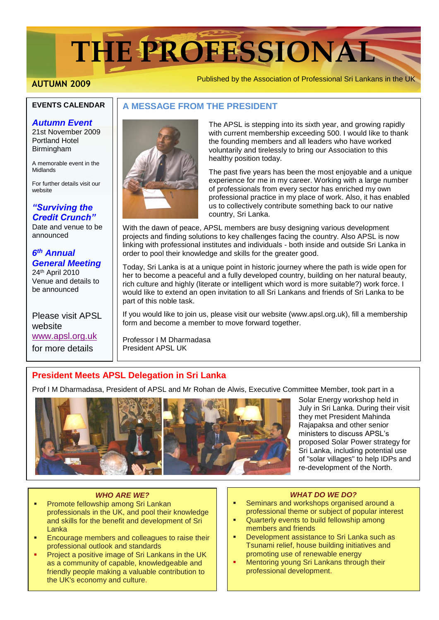# **THE PROFESSIONAL**

**AUTUMN 2009**

Published by the Association of Professional Sri Lankans in the UK

#### **EVENTS CALENDAR**

#### *Autumn Event*

21st November 2009 Portland Hotel Birmingham

A memorable event in the Midlands

For further details visit our website

#### *"Surviving the Credit Crunch"*

Date and venue to be announced

### *6 th Annual General Meeting*

24th April 2010 Venue and details to be announced

Please visit APSL website [www.apsl.org.uk](http://www.apsl.org.uk/)  for more details

## **A MESSAGE FROM THE PRESIDENT**



The APSL is stepping into its sixth year, and growing rapidly with current membership exceeding 500. I would like to thank the founding members and all leaders who have worked voluntarily and tirelessly to bring our Association to this healthy position today.

The past five years has been the most enjoyable and a unique experience for me in my career. Working with a large number of professionals from every sector has enriched my own professional practice in my place of work. Also, it has enabled us to collectively contribute something back to our native country, Sri Lanka.

With the dawn of peace, APSL members are busy designing various development projects and finding solutions to key challenges facing the country. Also APSL is now linking with professional institutes and individuals - both inside and outside Sri Lanka in order to pool their knowledge and skills for the greater good.

Today, Sri Lanka is at a unique point in historic journey where the path is wide open for her to become a peaceful and a fully developed country, building on her natural beauty, rich culture and highly (literate or intelligent which word is more suitable?) work force. I would like to extend an open invitation to all Sri Lankans and friends of Sri Lanka to be part of this noble task.

If you would like to join us, please visit our website (www.apsl.org.uk), fill a membership form and become a member to move forward together.

Professor I M Dharmadasa President APSL UK

# **President Meets APSL Delegation in Sri Lanka**

Prof I M Dharmadasa, President of APSL and Mr Rohan de Alwis, Executive Committee Member, took part in a



Solar Energy workshop held in July in Sri Lanka. During their visit they met President Mahinda Rajapaksa and other senior ministers to discuss APSL's proposed Solar Power strategy for Sri Lanka, including potential use of "solar villages" to help IDPs and re-development of the North.

#### *WHO ARE WE?*

- Promote fellowship among Sri Lankan professionals in the UK, and pool their knowledge and skills for the benefit and development of Sri Lanka
- Encourage members and colleagues to raise their professional outlook and standards
- Project a positive image of Sri Lankans in the UK as a community of capable, knowledgeable and friendly people making a valuable contribution to the UK's economy and culture.

#### *WHAT DO WE DO?*

- Seminars and workshops organised around a professional theme or subject of popular interest
- Quarterly events to build fellowship among members and friends
- Development assistance to Sri Lanka such as Tsunami relief, house building initiatives and promoting use of renewable energy
- Mentoring young Sri Lankans through their professional development.